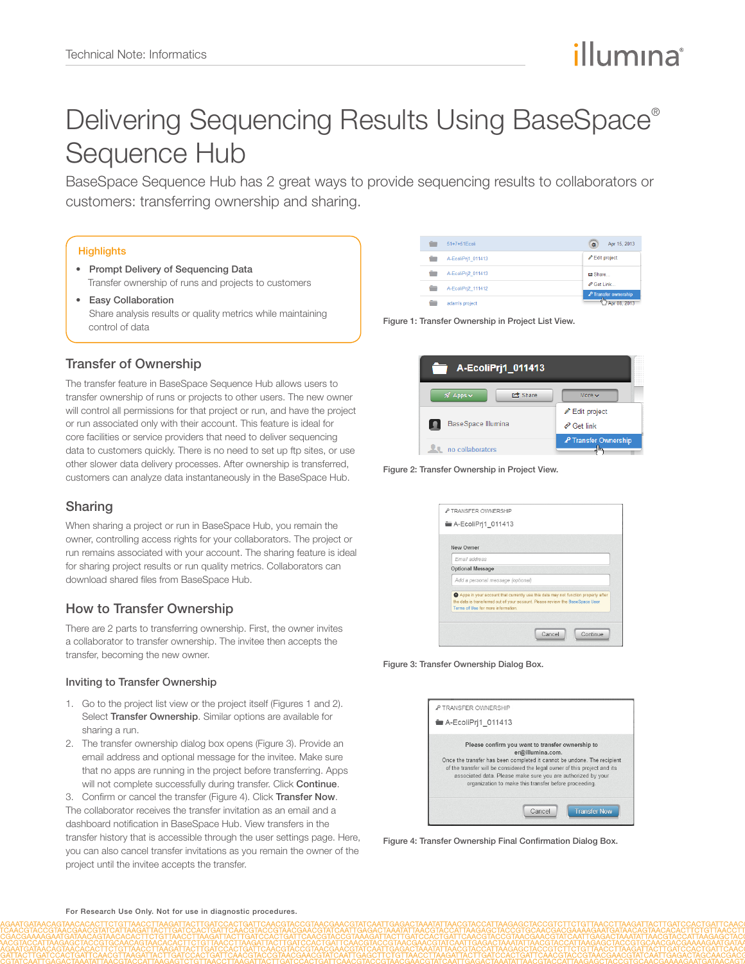# Delivering Sequencing Results Using BaseSpace® Sequence Hub

BaseSpace Sequence Hub has 2 great ways to provide sequencing results to collaborators or customers: transferring ownership and sharing.

#### **Highlights**

- Prompt Delivery of Sequencing Data Transfer ownership of runs and projects to customers
- Easy Collaboration Share analysis results or quality metrics while maintaining control of data

## Transfer of Ownership

The transfer feature in BaseSpace Sequence Hub allows users to transfer ownership of runs or projects to other users. The new owner will control all permissions for that project or run, and have the project or run associated only with their account. This feature is ideal for core facilities or service providers that need to deliver sequencing data to customers quickly. There is no need to set up ftp sites, or use other slower data delivery processes. After ownership is transferred, customers can analyze data instantaneously in the BaseSpace Hub.

# Sharing

When sharing a project or run in BaseSpace Hub, you remain the owner, controlling access rights for your collaborators. The project or run remains associated with your account. The sharing feature is ideal for sharing project results or run quality metrics. Collaborators can download shared files from BaseSpace Hub.

## How to Transfer Ownership

There are 2 parts to transferring ownership. First, the owner invites a collaborator to transfer ownership. The invitee then accepts the transfer, becoming the new owner.

#### Inviting to Transfer Ownership

- 1. Go to the project list view or the project itself [\(Figures 1](#page-0-0) and 2). Select Transfer Ownership. Similar options are available for sharing a run.
- 2. The transfer ownership dialog box opens ([Figure 3\)](#page-0-1). Provide an email address and optional message for the invitee. Make sure that no apps are running in the project before transferring. Apps will not complete successfully during transfer. Click Continue.

3. Confirm or cancel the transfer ([Figure 4](#page-0-2)). Click Transfer Now. The collaborator receives the transfer invitation as an email and a dashboard notification in BaseSpace Hub. View transfers in the transfer history that is accessible through the user settings page. Here, you can also cancel transfer invitations as you remain the owner of the project until the invitee accepts the transfer.

| ÷<br>51+7+51Fcoli       | Apr 15, 2013<br>Ø.                  |
|-------------------------|-------------------------------------|
| A-EcoliPri1 011413      | Edit project                        |
| A-EcoliPri2 011413      | ■ Share                             |
| A-EcoliPri2 111412<br>- | $\partial$ Get Link                 |
| adam's project          | P Transfer ownership<br>Apr 08 2013 |

Figure 1: Transfer Ownership in Project List View.

<span id="page-0-0"></span>

| A-EcoliPri1 011413                                |                            |
|---------------------------------------------------|----------------------------|
| $\mathscr{R}$ Apps $\checkmark$<br><b>己</b> Share | More $\sim$                |
|                                                   | Edit project               |
| BaseSpace Illumina                                | $e^{\circ}$ Get link       |
| no collaborators                                  | P Transfer Ownership<br>h. |

Figure 2: Transfer Ownership in Project View.



Figure 3: Transfer Ownership Dialog Box.

<span id="page-0-1"></span>

| P TRANSFER OWNERSHIP |                                                                                                                                                                                                                                                                                                                                                        |
|----------------------|--------------------------------------------------------------------------------------------------------------------------------------------------------------------------------------------------------------------------------------------------------------------------------------------------------------------------------------------------------|
| A-EcoliPri1 011413   |                                                                                                                                                                                                                                                                                                                                                        |
|                      | Please confirm you want to transfer ownership to<br>er@illumina.com.<br>Once the transfer has been completed it cannot be undone. The recipient<br>of the transfer will be considered the legal owner of this project and its<br>associated data. Please make sure you are authorized by your<br>organization to make this transfer before proceeding. |
|                      | <b>Transfer Now</b><br>Cancel                                                                                                                                                                                                                                                                                                                          |

<span id="page-0-2"></span>Figure 4: Transfer Ownership Final Confirmation Dialog Box.